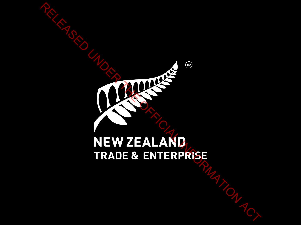# RELEASED UNDER THE OFFICE STRADE & ENTERPRISE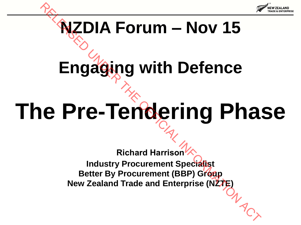

# **NZDIA Forum – Nov 15**

# **Engaging with Defence**

# **The Pre-Tendering Phase**

**Richard Harrison Industry Procurement Specialist Better By Procurement (BBP) Group New Zealand Trade and Enterprise (NZTE) RELATION TO THE OFFICIAL SURVEYS AND RELATED UNITED SETS.**<br>
RELATED UP TO THE OFFICIAL RELATION ACT AND RECORD TO THE OFFICIAL RELATION DEVICED TO THE OFFICIAL RELATION ACT TO THE NEW ZEALM Trade and Enterprise (N27E)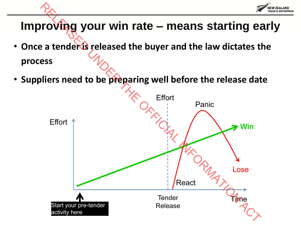

### **Improving your win rate – means starting early**

- Once a tender is released the buyer and the law dictates the **process**
- **Suppliers need to be preparing well before the release date**

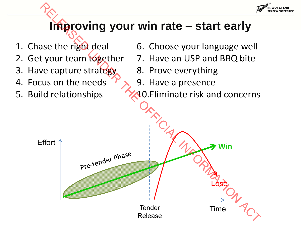

### **Improving your win rate – start early**

- 1. Chase the right deal
- 2. Get your team together
- 3. Have capture strategy
- 4. Focus on the needs
- 5. Build relationships
- 6. Choose your language well
- 7. Have an USP and BBQ bite
- 8. Prove everything
- 9. Have a presence
- 10.Eliminate risk and concerns

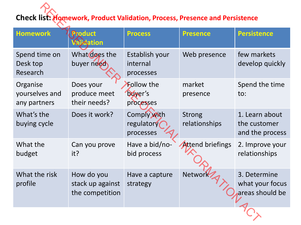### **Check list: Homework, Product Validation, Process, Presence and Persistence**

| <b>Check list: Homework, Product Validation, Process, Presence and Persistence</b> |                                                   |                                           |                                |                                                    |
|------------------------------------------------------------------------------------|---------------------------------------------------|-------------------------------------------|--------------------------------|----------------------------------------------------|
| <b>Homework</b>                                                                    | Product<br>alidation                              | <b>Process</b>                            | <b>Presence</b>                | <b>Persistence</b>                                 |
| Spend time on<br>Desk top<br>Research                                              | What does the<br>buyer need                       | Establish your<br>internal<br>processes   | Web presence                   | few markets<br>develop quickly                     |
| Organise<br>yourselves and<br>any partners                                         | Does your<br>produce meet<br>their needs?         | <b>Follow the</b><br>buyer's<br>processes | market<br>presence             | Spend the time<br>to:                              |
| What's the<br>buying cycle                                                         | Does it work?                                     | Comply with<br>regulatory<br>processes    | <b>Strong</b><br>relationships | 1. Learn about<br>the customer<br>and the process  |
| What the<br>budget                                                                 | Can you prove<br>it?                              | Have a bid/no-<br>bid process             | <b>Attend briefings</b>        | 2. Improve your<br>relationships                   |
| What the risk<br>profile                                                           | How do you<br>stack up against<br>the competition | Have a capture<br>strategy                | Networ                         | 3. Determine<br>what your focus<br>areas should be |
|                                                                                    |                                                   |                                           |                                |                                                    |